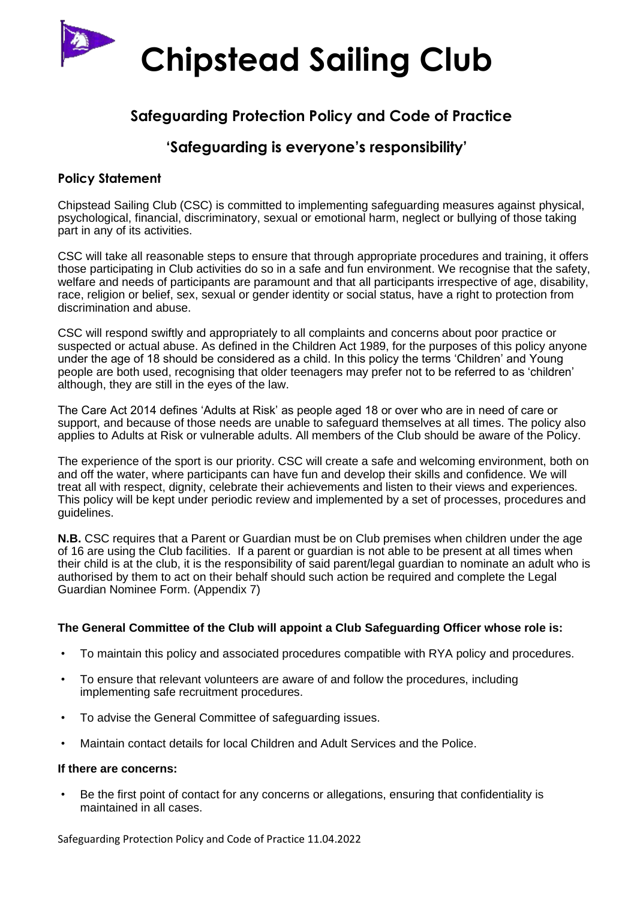

# **Safeguarding Protection Policy and Code of Practice**

# **'Safeguarding is everyone's responsibility'**

# **Policy Statement**

Chipstead Sailing Club (CSC) is committed to implementing safeguarding measures against physical, psychological, financial, discriminatory, sexual or emotional harm, neglect or bullying of those taking part in any of its activities.

CSC will take all reasonable steps to ensure that through appropriate procedures and training, it offers those participating in Club activities do so in a safe and fun environment. We recognise that the safety, welfare and needs of participants are paramount and that all participants irrespective of age, disability, race, religion or belief, sex, sexual or gender identity or social status, have a right to protection from discrimination and abuse.

CSC will respond swiftly and appropriately to all complaints and concerns about poor practice or suspected or actual abuse. As defined in the Children Act 1989, for the purposes of this policy anyone under the age of 18 should be considered as a child. In this policy the terms 'Children' and Young people are both used, recognising that older teenagers may prefer not to be referred to as 'children' although, they are still in the eyes of the law.

The Care Act 2014 defines 'Adults at Risk' as people aged 18 or over who are in need of care or support, and because of those needs are unable to safeguard themselves at all times. The policy also applies to Adults at Risk or vulnerable adults. All members of the Club should be aware of the Policy.

The experience of the sport is our priority. CSC will create a safe and welcoming environment, both on and off the water, where participants can have fun and develop their skills and confidence. We will treat all with respect, dignity, celebrate their achievements and listen to their views and experiences. This policy will be kept under periodic review and implemented by a set of processes, procedures and guidelines.

**N.B.** CSC requires that a Parent or Guardian must be on Club premises when children under the age of 16 are using the Club facilities. If a parent or guardian is not able to be present at all times when their child is at the club, it is the responsibility of said parent/legal guardian to nominate an adult who is authorised by them to act on their behalf should such action be required and complete the Legal Guardian Nominee Form. (Appendix 7)

#### **The General Committee of the Club will appoint a Club Safeguarding Officer whose role is:**

- To maintain this policy and associated procedures compatible with RYA policy and procedures.
- To ensure that relevant volunteers are aware of and follow the procedures, including implementing safe recruitment procedures.
- To advise the General Committee of safeguarding issues.
- Maintain contact details for local Children and Adult Services and the Police.

#### **If there are concerns:**

• Be the first point of contact for any concerns or allegations, ensuring that confidentiality is maintained in all cases.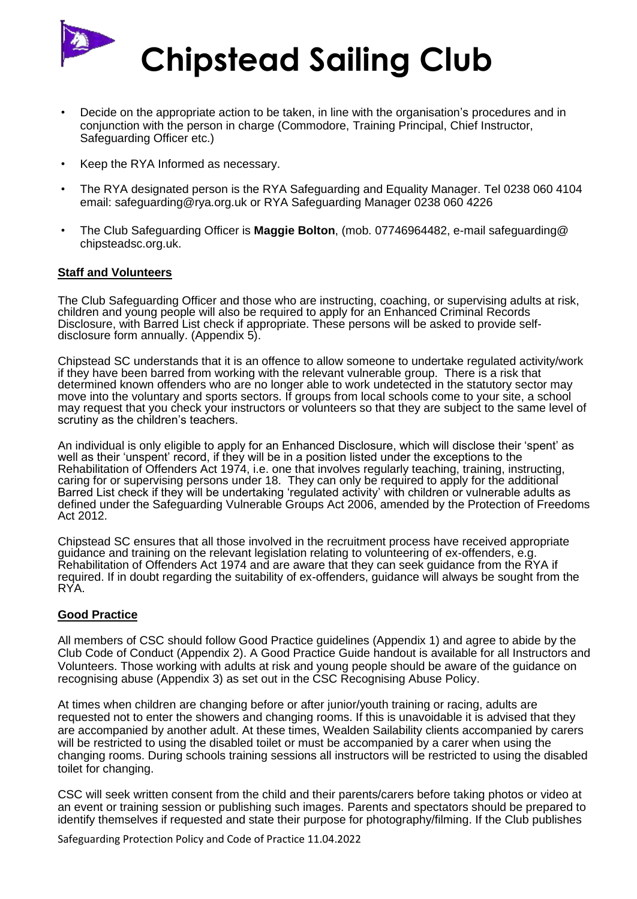

- Decide on the appropriate action to be taken, in line with the organisation's procedures and in conjunction with the person in charge (Commodore, Training Principal, Chief Instructor, Safeguarding Officer etc.)
- Keep the RYA Informed as necessary.
- The RYA designated person is the RYA Safeguarding and Equality Manager. Tel 0238 060 4104 email: safeguarding@rya.org.uk or RYA Safeguarding Manager 0238 060 4226
- The Club Safeguarding Officer is **Maggie Bolton**, (mob. 07746964482, e-mail safeguarding@ chipsteadsc.org.uk.

#### **Staff and Volunteers**

The Club Safeguarding Officer and those who are instructing, coaching, or supervising adults at risk, children and young people will also be required to apply for an Enhanced Criminal Records Disclosure, with Barred List check if appropriate. These persons will be asked to provide selfdisclosure form annually. (Appendix 5).

Chipstead SC understands that it is an offence to allow someone to undertake regulated activity/work if they have been barred from working with the relevant vulnerable group. There is a risk that determined known offenders who are no longer able to work undetected in the statutory sector may move into the voluntary and sports sectors. If groups from local schools come to your site, a school may request that you check your instructors or volunteers so that they are subject to the same level of scrutiny as the children's teachers.

An individual is only eligible to apply for an Enhanced Disclosure, which will disclose their 'spent' as well as their 'unspent' record, if they will be in a position listed under the exceptions to the Rehabilitation of Offenders Act 1974, i.e. one that involves regularly teaching, training, instructing, caring for or supervising persons under 18. They can only be required to apply for the additional Barred List check if they will be undertaking 'regulated activity' with children or vulnerable adults as defined under the Safeguarding Vulnerable Groups Act 2006, amended by the Protection of Freedoms Act 2012.

Chipstead SC ensures that all those involved in the recruitment process have received appropriate guidance and training on the relevant legislation relating to volunteering of ex-offenders, e.g. Rehabilitation of Offenders Act 1974 and are aware that they can seek guidance from the RYA if required. If in doubt regarding the suitability of ex-offenders, guidance will always be sought from the RYA.

#### **Good Practice**

All members of CSC should follow Good Practice guidelines (Appendix 1) and agree to abide by the Club Code of Conduct (Appendix 2). A Good Practice Guide handout is available for all Instructors and Volunteers. Those working with adults at risk and young people should be aware of the guidance on recognising abuse (Appendix 3) as set out in the CSC Recognising Abuse Policy.

At times when children are changing before or after junior/youth training or racing, adults are requested not to enter the showers and changing rooms. If this is unavoidable it is advised that they are accompanied by another adult. At these times, Wealden Sailability clients accompanied by carers will be restricted to using the disabled toilet or must be accompanied by a carer when using the changing rooms. During schools training sessions all instructors will be restricted to using the disabled toilet for changing.

CSC will seek written consent from the child and their parents/carers before taking photos or video at an event or training session or publishing such images. Parents and spectators should be prepared to identify themselves if requested and state their purpose for photography/filming. If the Club publishes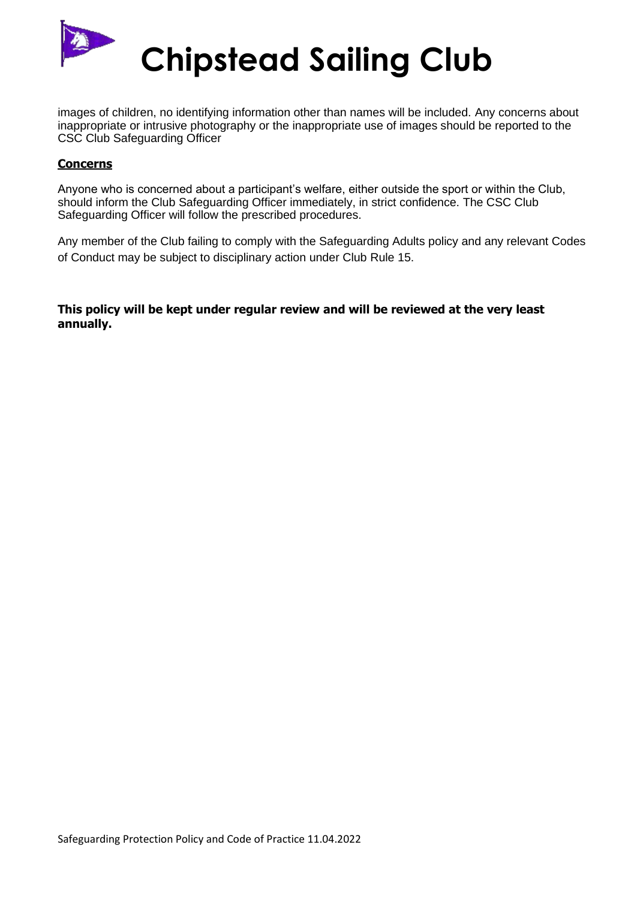

images of children, no identifying information other than names will be included. Any concerns about inappropriate or intrusive photography or the inappropriate use of images should be reported to the CSC Club Safeguarding Officer

#### **Concerns**

Anyone who is concerned about a participant's welfare, either outside the sport or within the Club, should inform the Club Safeguarding Officer immediately, in strict confidence. The CSC Club Safeguarding Officer will follow the prescribed procedures.

Any member of the Club failing to comply with the Safeguarding Adults policy and any relevant Codes of Conduct may be subject to disciplinary action under Club Rule 15.

**This policy will be kept under regular review and will be reviewed at the very least annually.**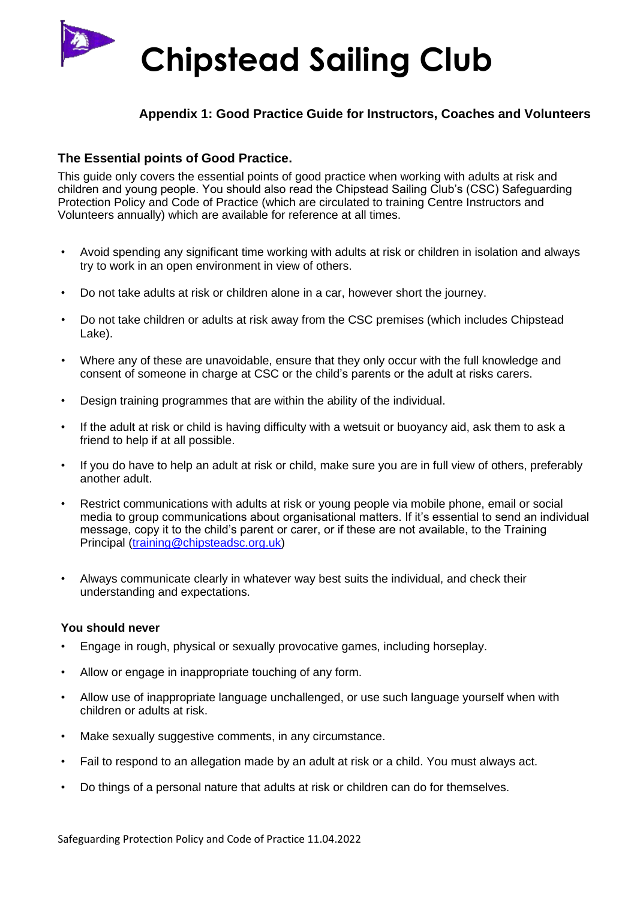

### **Appendix 1: Good Practice Guide for Instructors, Coaches and Volunteers**

### **The Essential points of Good Practice.**

This guide only covers the essential points of good practice when working with adults at risk and children and young people. You should also read the Chipstead Sailing Club's (CSC) Safeguarding Protection Policy and Code of Practice (which are circulated to training Centre Instructors and Volunteers annually) which are available for reference at all times.

- Avoid spending any significant time working with adults at risk or children in isolation and always try to work in an open environment in view of others.
- Do not take adults at risk or children alone in a car, however short the journey.
- Do not take children or adults at risk away from the CSC premises (which includes Chipstead Lake).
- Where any of these are unavoidable, ensure that they only occur with the full knowledge and consent of someone in charge at CSC or the child's parents or the adult at risks carers.
- Design training programmes that are within the ability of the individual.
- If the adult at risk or child is having difficulty with a wetsuit or buoyancy aid, ask them to ask a friend to help if at all possible.
- If you do have to help an adult at risk or child, make sure you are in full view of others, preferably another adult.
- Restrict communications with adults at risk or young people via mobile phone, email or social media to group communications about organisational matters. If it's essential to send an individual message, copy it to the child's parent or carer, or if these are not available, to the Training Principal [\(training@chipsteadsc.org.uk\)](mailto:training@chipsteadsc.org.uk)
- Always communicate clearly in whatever way best suits the individual, and check their understanding and expectations.

#### **You should never**

- Engage in rough, physical or sexually provocative games, including horseplay.
- Allow or engage in inappropriate touching of any form.
- Allow use of inappropriate language unchallenged, or use such language yourself when with children or adults at risk.
- Make sexually suggestive comments, in any circumstance.
- Fail to respond to an allegation made by an adult at risk or a child. You must always act.
- Do things of a personal nature that adults at risk or children can do for themselves.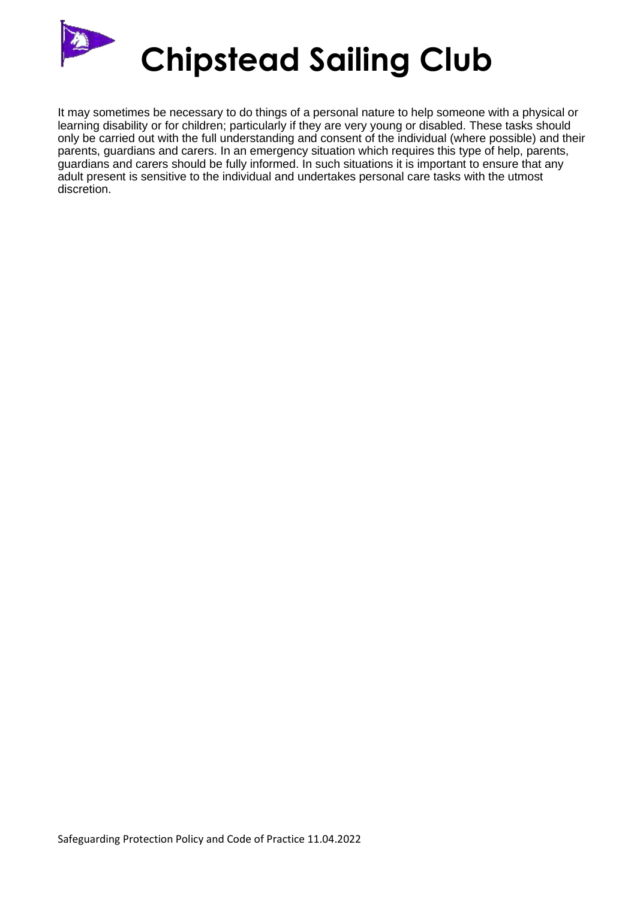

It may sometimes be necessary to do things of a personal nature to help someone with a physical or learning disability or for children; particularly if they are very young or disabled. These tasks should only be carried out with the full understanding and consent of the individual (where possible) and their parents, guardians and carers. In an emergency situation which requires this type of help, parents, guardians and carers should be fully informed. In such situations it is important to ensure that any adult present is sensitive to the individual and undertakes personal care tasks with the utmost discretion.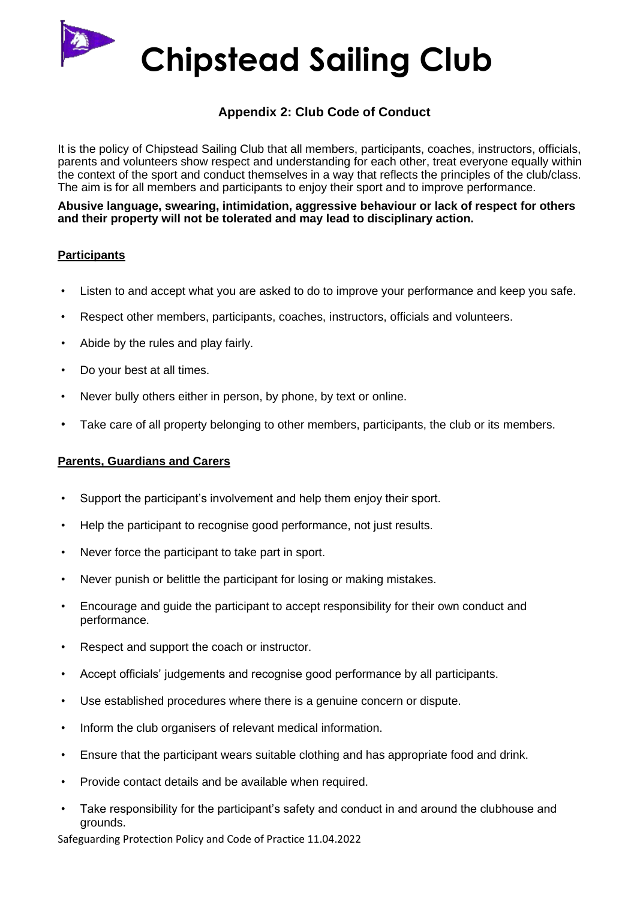# **Appendix 2: Club Code of Conduct**

It is the policy of Chipstead Sailing Club that all members, participants, coaches, instructors, officials, parents and volunteers show respect and understanding for each other, treat everyone equally within the context of the sport and conduct themselves in a way that reflects the principles of the club/class. The aim is for all members and participants to enjoy their sport and to improve performance.

**Abusive language, swearing, intimidation, aggressive behaviour or lack of respect for others and their property will not be tolerated and may lead to disciplinary action.**

### **Participants**

- Listen to and accept what you are asked to do to improve your performance and keep you safe.
- Respect other members, participants, coaches, instructors, officials and volunteers.
- Abide by the rules and play fairly.
- Do your best at all times.
- Never bully others either in person, by phone, by text or online.
- Take care of all property belonging to other members, participants, the club or its members.

#### **Parents, Guardians and Carers**

- Support the participant's involvement and help them enjoy their sport.
- Help the participant to recognise good performance, not just results.
- Never force the participant to take part in sport.
- Never punish or belittle the participant for losing or making mistakes.
- Encourage and guide the participant to accept responsibility for their own conduct and performance.
- Respect and support the coach or instructor.
- Accept officials' judgements and recognise good performance by all participants.
- Use established procedures where there is a genuine concern or dispute.
- Inform the club organisers of relevant medical information.
- Ensure that the participant wears suitable clothing and has appropriate food and drink.
- Provide contact details and be available when required.
- Take responsibility for the participant's safety and conduct in and around the clubhouse and grounds.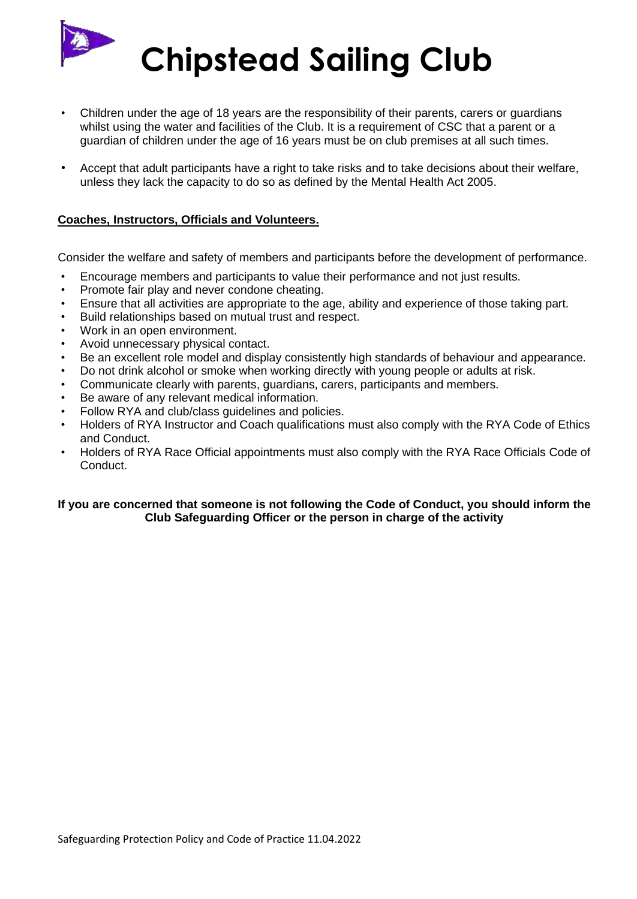

- Children under the age of 18 years are the responsibility of their parents, carers or guardians whilst using the water and facilities of the Club. It is a requirement of CSC that a parent or a guardian of children under the age of 16 years must be on club premises at all such times.
- Accept that adult participants have a right to take risks and to take decisions about their welfare, unless they lack the capacity to do so as defined by the Mental Health Act 2005.

#### **Coaches, Instructors, Officials and Volunteers.**

Consider the welfare and safety of members and participants before the development of performance.

- Encourage members and participants to value their performance and not just results.
- Promote fair play and never condone cheating.
- Ensure that all activities are appropriate to the age, ability and experience of those taking part.
- Build relationships based on mutual trust and respect.
- Work in an open environment.
- Avoid unnecessary physical contact.
- Be an excellent role model and display consistently high standards of behaviour and appearance.
- Do not drink alcohol or smoke when working directly with young people or adults at risk.
- Communicate clearly with parents, guardians, carers, participants and members.
- Be aware of any relevant medical information.
- Follow RYA and club/class guidelines and policies.
- Holders of RYA Instructor and Coach qualifications must also comply with the RYA Code of Ethics and Conduct.
- Holders of RYA Race Official appointments must also comply with the RYA Race Officials Code of Conduct.

#### **If you are concerned that someone is not following the Code of Conduct, you should inform the Club Safeguarding Officer or the person in charge of the activity**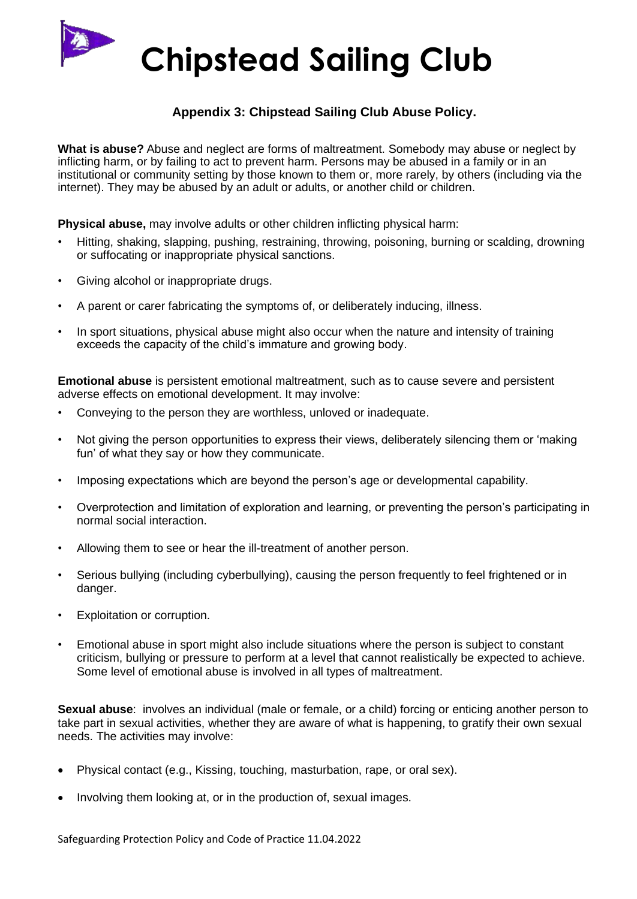# **Appendix 3: Chipstead Sailing Club Abuse Policy.**

**What is abuse?** Abuse and neglect are forms of maltreatment. Somebody may abuse or neglect by inflicting harm, or by failing to act to prevent harm. Persons may be abused in a family or in an institutional or community setting by those known to them or, more rarely, by others (including via the internet). They may be abused by an adult or adults, or another child or children.

**Physical abuse,** may involve adults or other children inflicting physical harm:

- Hitting, shaking, slapping, pushing, restraining, throwing, poisoning, burning or scalding, drowning or suffocating or inappropriate physical sanctions.
- Giving alcohol or inappropriate drugs.
- A parent or carer fabricating the symptoms of, or deliberately inducing, illness.
- In sport situations, physical abuse might also occur when the nature and intensity of training exceeds the capacity of the child's immature and growing body.

**Emotional abuse** is persistent emotional maltreatment, such as to cause severe and persistent adverse effects on emotional development. It may involve:

- Conveying to the person they are worthless, unloved or inadequate.
- Not giving the person opportunities to express their views, deliberately silencing them or 'making fun' of what they say or how they communicate.
- Imposing expectations which are beyond the person's age or developmental capability.
- Overprotection and limitation of exploration and learning, or preventing the person's participating in normal social interaction.
- Allowing them to see or hear the ill-treatment of another person.
- Serious bullying (including cyberbullying), causing the person frequently to feel frightened or in danger.
- Exploitation or corruption.
- Emotional abuse in sport might also include situations where the person is subject to constant criticism, bullying or pressure to perform at a level that cannot realistically be expected to achieve. Some level of emotional abuse is involved in all types of maltreatment.

**Sexual abuse**: involves an individual (male or female, or a child) forcing or enticing another person to take part in sexual activities, whether they are aware of what is happening, to gratify their own sexual needs. The activities may involve:

- Physical contact (e.g., Kissing, touching, masturbation, rape, or oral sex).
- Involving them looking at, or in the production of, sexual images.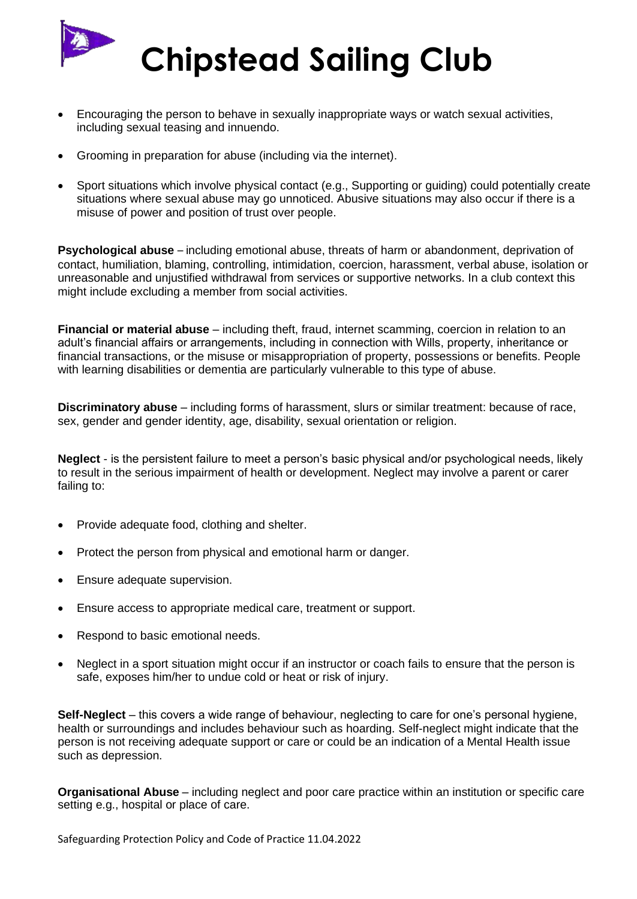

- Encouraging the person to behave in sexually inappropriate ways or watch sexual activities, including sexual teasing and innuendo.
- Grooming in preparation for abuse (including via the internet).
- Sport situations which involve physical contact (e.g., Supporting or guiding) could potentially create situations where sexual abuse may go unnoticed. Abusive situations may also occur if there is a misuse of power and position of trust over people.

**Psychological abuse** – including emotional abuse, threats of harm or abandonment, deprivation of contact, humiliation, blaming, controlling, intimidation, coercion, harassment, verbal abuse, isolation or unreasonable and unjustified withdrawal from services or supportive networks. In a club context this might include excluding a member from social activities.

**Financial or material abuse** – including theft, fraud, internet scamming, coercion in relation to an adult's financial affairs or arrangements, including in connection with Wills, property, inheritance or financial transactions, or the misuse or misappropriation of property, possessions or benefits. People with learning disabilities or dementia are particularly vulnerable to this type of abuse.

**Discriminatory abuse** – including forms of harassment, slurs or similar treatment: because of race, sex, gender and gender identity, age, disability, sexual orientation or religion.

**Neglect** - is the persistent failure to meet a person's basic physical and/or psychological needs, likely to result in the serious impairment of health or development. Neglect may involve a parent or carer failing to:

- Provide adequate food, clothing and shelter.
- Protect the person from physical and emotional harm or danger.
- Ensure adequate supervision.
- Ensure access to appropriate medical care, treatment or support.
- Respond to basic emotional needs.
- Neglect in a sport situation might occur if an instructor or coach fails to ensure that the person is safe, exposes him/her to undue cold or heat or risk of injury.

**Self-Neglect** – this covers a wide range of behaviour, neglecting to care for one's personal hygiene, health or surroundings and includes behaviour such as hoarding. Self-neglect might indicate that the person is not receiving adequate support or care or could be an indication of a Mental Health issue such as depression.

**Organisational Abuse** – including neglect and poor care practice within an institution or specific care setting e.g., hospital or place of care.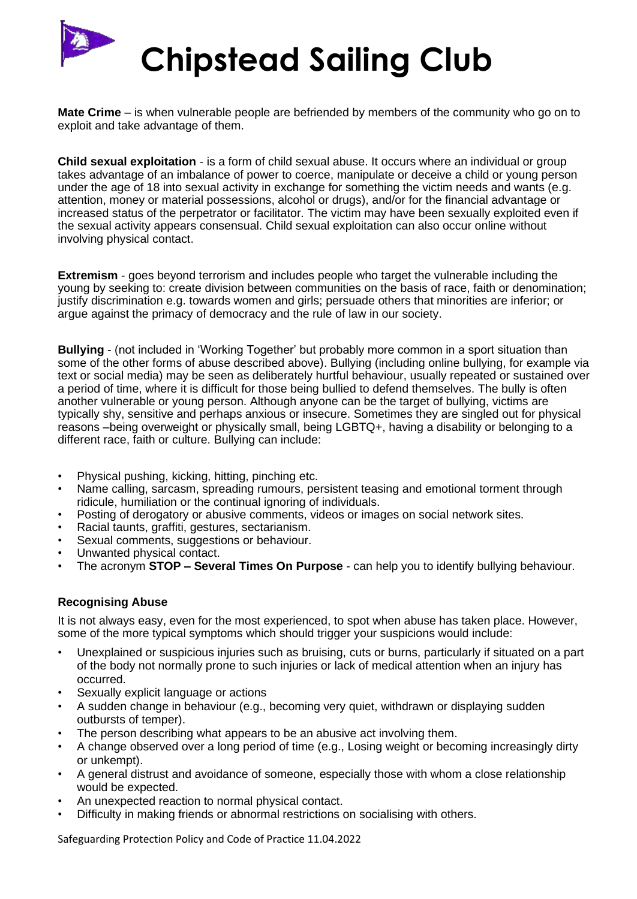

**Mate Crime** – is when vulnerable people are befriended by members of the community who go on to exploit and take advantage of them.

**Child sexual exploitation** - is a form of child sexual abuse. It occurs where an individual or group takes advantage of an imbalance of power to coerce, manipulate or deceive a child or young person under the age of 18 into sexual activity in exchange for something the victim needs and wants (e.g. attention, money or material possessions, alcohol or drugs), and/or for the financial advantage or increased status of the perpetrator or facilitator. The victim may have been sexually exploited even if the sexual activity appears consensual. Child sexual exploitation can also occur online without involving physical contact.

**Extremism** - goes beyond terrorism and includes people who target the vulnerable including the young by seeking to: create division between communities on the basis of race, faith or denomination; justify discrimination e.g. towards women and girls; persuade others that minorities are inferior; or argue against the primacy of democracy and the rule of law in our society.

**Bullying** - (not included in 'Working Together' but probably more common in a sport situation than some of the other forms of abuse described above). Bullying (including online bullying, for example via text or social media) may be seen as deliberately hurtful behaviour, usually repeated or sustained over a period of time, where it is difficult for those being bullied to defend themselves. The bully is often another vulnerable or young person. Although anyone can be the target of bullying, victims are typically shy, sensitive and perhaps anxious or insecure. Sometimes they are singled out for physical reasons –being overweight or physically small, being LGBTQ+, having a disability or belonging to a different race, faith or culture. Bullying can include:

- Physical pushing, kicking, hitting, pinching etc.
- Name calling, sarcasm, spreading rumours, persistent teasing and emotional torment through ridicule, humiliation or the continual ignoring of individuals.
- Posting of derogatory or abusive comments, videos or images on social network sites.
- Racial taunts, graffiti, gestures, sectarianism.
- Sexual comments, suggestions or behaviour.
- Unwanted physical contact.
- The acronym **STOP – Several Times On Purpose** can help you to identify bullying behaviour.

#### **Recognising Abuse**

It is not always easy, even for the most experienced, to spot when abuse has taken place. However, some of the more typical symptoms which should trigger your suspicions would include:

- Unexplained or suspicious injuries such as bruising, cuts or burns, particularly if situated on a part of the body not normally prone to such injuries or lack of medical attention when an injury has occurred.
- Sexually explicit language or actions
- A sudden change in behaviour (e.g., becoming very quiet, withdrawn or displaying sudden outbursts of temper).
- The person describing what appears to be an abusive act involving them.
- A change observed over a long period of time (e.g., Losing weight or becoming increasingly dirty or unkempt).
- A general distrust and avoidance of someone, especially those with whom a close relationship would be expected.
- An unexpected reaction to normal physical contact.
- Difficulty in making friends or abnormal restrictions on socialising with others.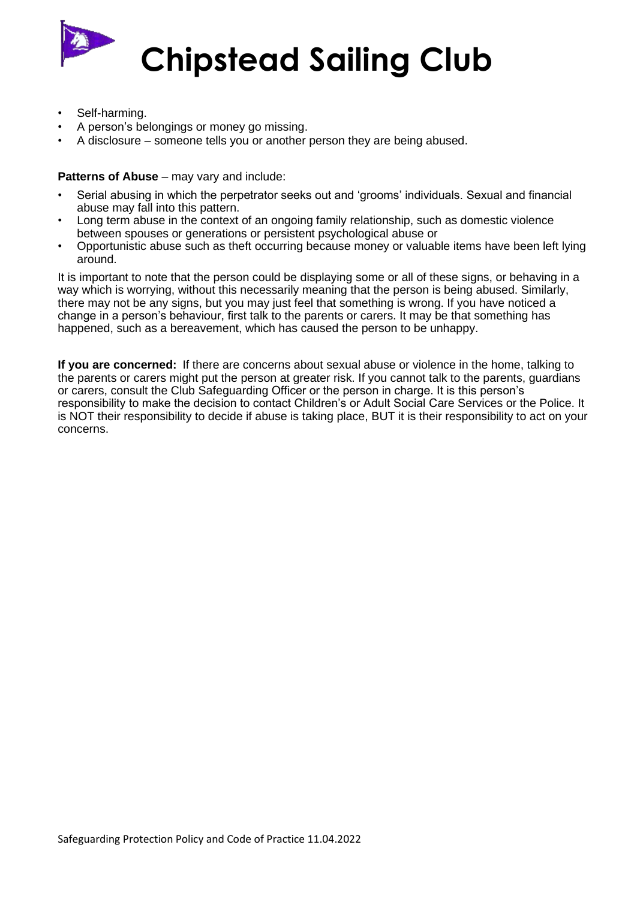

- Self-harming.
- A person's belongings or money go missing.
- A disclosure someone tells you or another person they are being abused.

#### **Patterns of Abuse** – may vary and include:

- Serial abusing in which the perpetrator seeks out and 'grooms' individuals. Sexual and financial abuse may fall into this pattern.
- Long term abuse in the context of an ongoing family relationship, such as domestic violence between spouses or generations or persistent psychological abuse or
- Opportunistic abuse such as theft occurring because money or valuable items have been left lying around.

It is important to note that the person could be displaying some or all of these signs, or behaving in a way which is worrying, without this necessarily meaning that the person is being abused. Similarly, there may not be any signs, but you may just feel that something is wrong. If you have noticed a change in a person's behaviour, first talk to the parents or carers. It may be that something has happened, such as a bereavement, which has caused the person to be unhappy.

**If you are concerned:** If there are concerns about sexual abuse or violence in the home, talking to the parents or carers might put the person at greater risk. If you cannot talk to the parents, guardians or carers, consult the Club Safeguarding Officer or the person in charge. It is this person's responsibility to make the decision to contact Children's or Adult Social Care Services or the Police. It is NOT their responsibility to decide if abuse is taking place, BUT it is their responsibility to act on your concerns.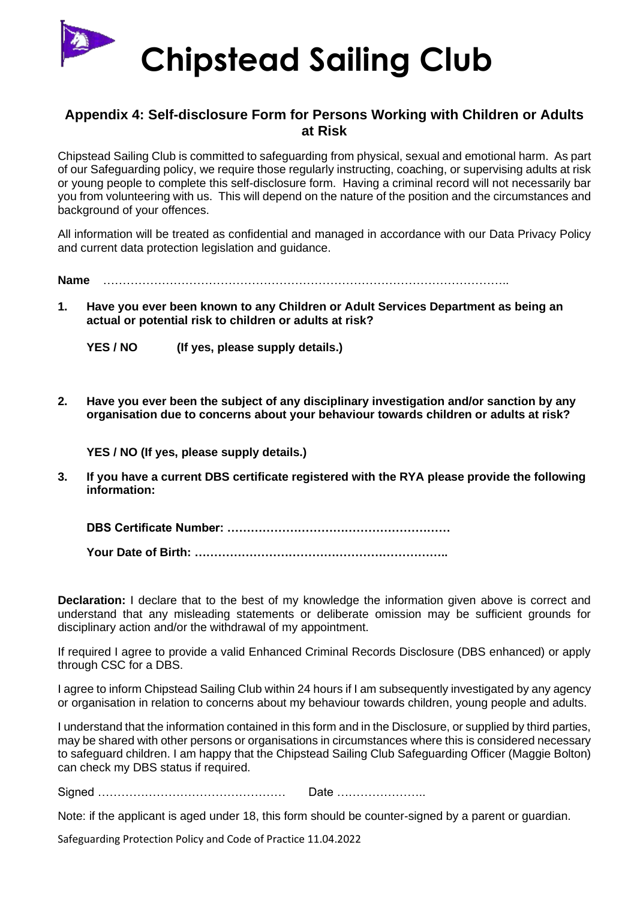

# **Appendix 4: Self-disclosure Form for Persons Working with Children or Adults at Risk**

Chipstead Sailing Club is committed to safeguarding from physical, sexual and emotional harm. As part of our Safeguarding policy, we require those regularly instructing, coaching, or supervising adults at risk or young people to complete this self-disclosure form. Having a criminal record will not necessarily bar you from volunteering with us. This will depend on the nature of the position and the circumstances and background of your offences.

All information will be treated as confidential and managed in accordance with our Data Privacy Policy and current data protection legislation and guidance.

**Name** …………………………………………………………………………………………..

**1. Have you ever been known to any Children or Adult Services Department as being an actual or potential risk to children or adults at risk?** 

**YES / NO (If yes, please supply details.)**

**2. Have you ever been the subject of any disciplinary investigation and/or sanction by any organisation due to concerns about your behaviour towards children or adults at risk?** 

**YES / NO (If yes, please supply details.)**

**3. If you have a current DBS certificate registered with the RYA please provide the following information:** 

**DBS Certificate Number: …………………………………………………**

**Your Date of Birth: ………………………………………………………..**

**Declaration:** I declare that to the best of my knowledge the information given above is correct and understand that any misleading statements or deliberate omission may be sufficient grounds for disciplinary action and/or the withdrawal of my appointment.

If required I agree to provide a valid Enhanced Criminal Records Disclosure (DBS enhanced) or apply through CSC for a DBS.

I agree to inform Chipstead Sailing Club within 24 hours if I am subsequently investigated by any agency or organisation in relation to concerns about my behaviour towards children, young people and adults.

I understand that the information contained in this form and in the Disclosure, or supplied by third parties, may be shared with other persons or organisations in circumstances where this is considered necessary to safeguard children. I am happy that the Chipstead Sailing Club Safeguarding Officer (Maggie Bolton) can check my DBS status if required.

Signed ………………………………………… Date …………………..

Note: if the applicant is aged under 18, this form should be counter-signed by a parent or guardian.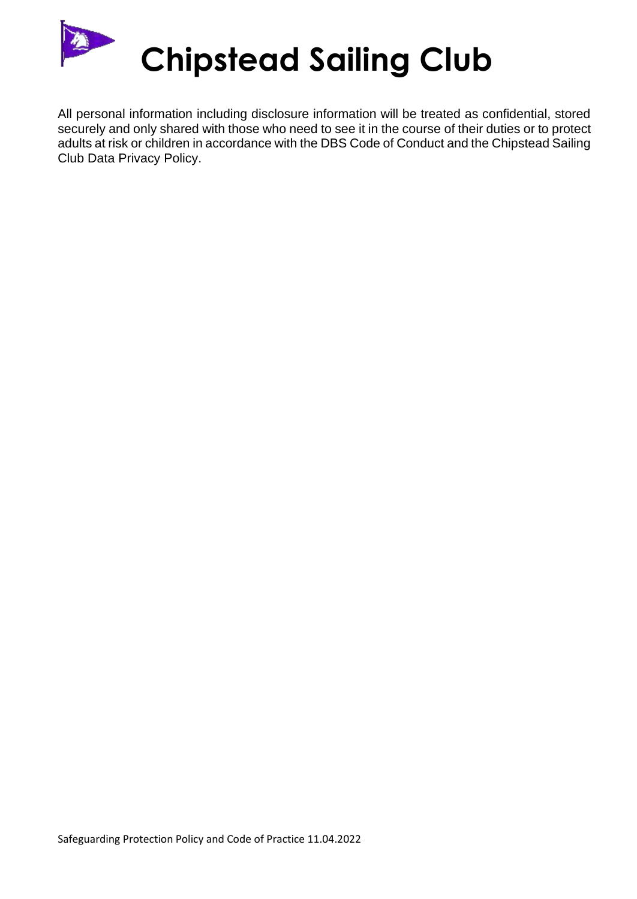

All personal information including disclosure information will be treated as confidential, stored securely and only shared with those who need to see it in the course of their duties or to protect adults at risk or children in accordance with the DBS Code of Conduct and the Chipstead Sailing Club Data Privacy Policy.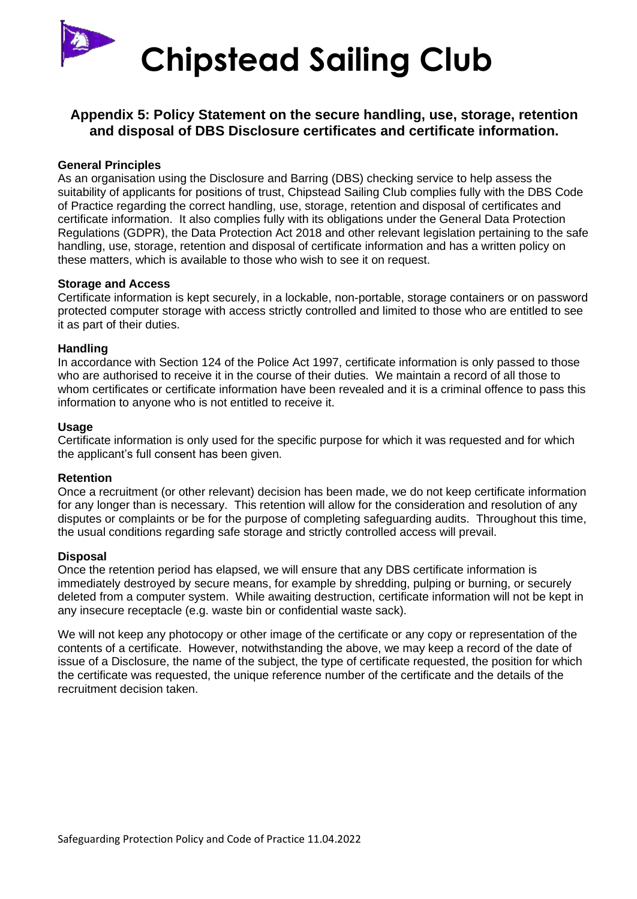

# **Appendix 5: Policy Statement on the secure handling, use, storage, retention and disposal of DBS Disclosure certificates and certificate information.**

#### **General Principles**

As an organisation using the Disclosure and Barring (DBS) checking service to help assess the suitability of applicants for positions of trust, Chipstead Sailing Club complies fully with the DBS Code of Practice regarding the correct handling, use, storage, retention and disposal of certificates and certificate information. It also complies fully with its obligations under the General Data Protection Regulations (GDPR), the Data Protection Act 2018 and other relevant legislation pertaining to the safe handling, use, storage, retention and disposal of certificate information and has a written policy on these matters, which is available to those who wish to see it on request.

#### **Storage and Access**

Certificate information is kept securely, in a lockable, non-portable, storage containers or on password protected computer storage with access strictly controlled and limited to those who are entitled to see it as part of their duties.

#### **Handling**

In accordance with Section 124 of the Police Act 1997, certificate information is only passed to those who are authorised to receive it in the course of their duties. We maintain a record of all those to whom certificates or certificate information have been revealed and it is a criminal offence to pass this information to anyone who is not entitled to receive it.

#### **Usage**

Certificate information is only used for the specific purpose for which it was requested and for which the applicant's full consent has been given.

#### **Retention**

Once a recruitment (or other relevant) decision has been made, we do not keep certificate information for any longer than is necessary. This retention will allow for the consideration and resolution of any disputes or complaints or be for the purpose of completing safeguarding audits. Throughout this time, the usual conditions regarding safe storage and strictly controlled access will prevail.

#### **Disposal**

Once the retention period has elapsed, we will ensure that any DBS certificate information is immediately destroyed by secure means, for example by shredding, pulping or burning, or securely deleted from a computer system. While awaiting destruction, certificate information will not be kept in any insecure receptacle (e.g. waste bin or confidential waste sack).

We will not keep any photocopy or other image of the certificate or any copy or representation of the contents of a certificate. However, notwithstanding the above, we may keep a record of the date of issue of a Disclosure, the name of the subject, the type of certificate requested, the position for which the certificate was requested, the unique reference number of the certificate and the details of the recruitment decision taken.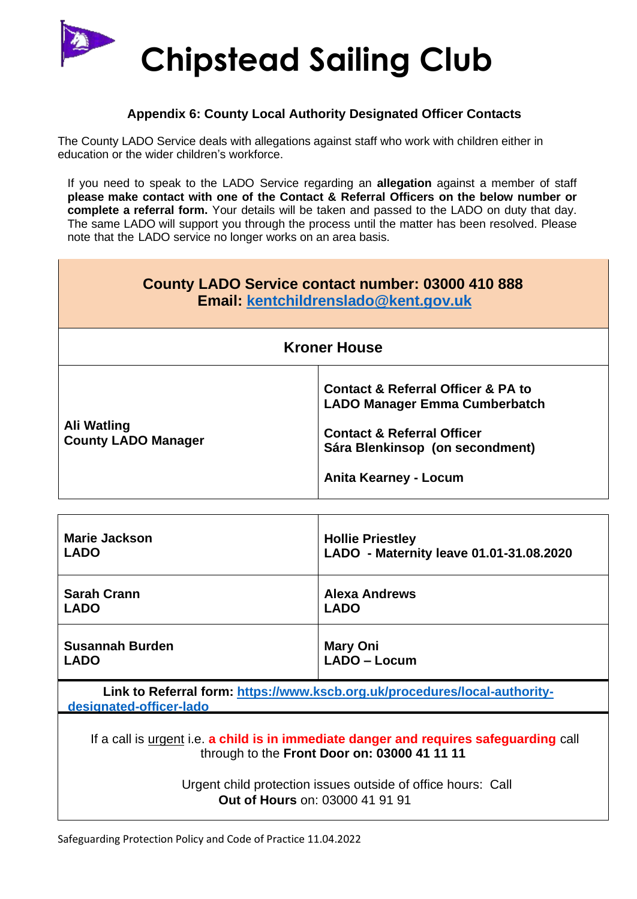

## **Appendix 6: County Local Authority Designated Officer Contacts**

The County LADO Service deals with allegations against staff who work with children either in education or the wider children's workforce.

If you need to speak to the LADO Service regarding an **allegation** against a member of staff **please make contact with one of the Contact & Referral Officers on the below number or complete a referral form.** Your details will be taken and passed to the LADO on duty that day. The same LADO will support you through the process until the matter has been resolved. Please note that the LADO service no longer works on an area basis.

| County LADO Service contact number: 03000 410 888<br>Email: kentchildrenslado@kent.gov.uk |                                                                                                                                                                                                       |  |
|-------------------------------------------------------------------------------------------|-------------------------------------------------------------------------------------------------------------------------------------------------------------------------------------------------------|--|
| <b>Kroner House</b>                                                                       |                                                                                                                                                                                                       |  |
| Ali Watling<br><b>County LADO Manager</b>                                                 | <b>Contact &amp; Referral Officer &amp; PA to</b><br><b>LADO Manager Emma Cumberbatch</b><br><b>Contact &amp; Referral Officer</b><br>Sára Blenkinsop (on secondment)<br><b>Anita Kearney - Locum</b> |  |

| <b>Marie Jackson</b>   | <b>Hollie Priestley</b>                 |
|------------------------|-----------------------------------------|
| <b>LADO</b>            | LADO - Maternity leave 01.01-31.08.2020 |
| <b>Sarah Crann</b>     | <b>Alexa Andrews</b>                    |
| <b>LADO</b>            | <b>LADO</b>                             |
| <b>Susannah Burden</b> | <b>Mary Oni</b>                         |
| <b>LADO</b>            | LADO - Locum                            |

**Link to Referral form: [https://www.kscb.org.uk/procedures/local-authority](https://www.kscb.org.uk/procedures/local-authority-designated-officer-lado)[designated-officer-lado](https://www.kscb.org.uk/procedures/local-authority-designated-officer-lado)**

If a call is urgent i.e. **a child is in immediate danger and requires safeguarding** call through to the **Front Door on: 03000 41 11 11**

> Urgent child protection issues outside of office hours: Call **Out of Hours** on: 03000 41 91 91